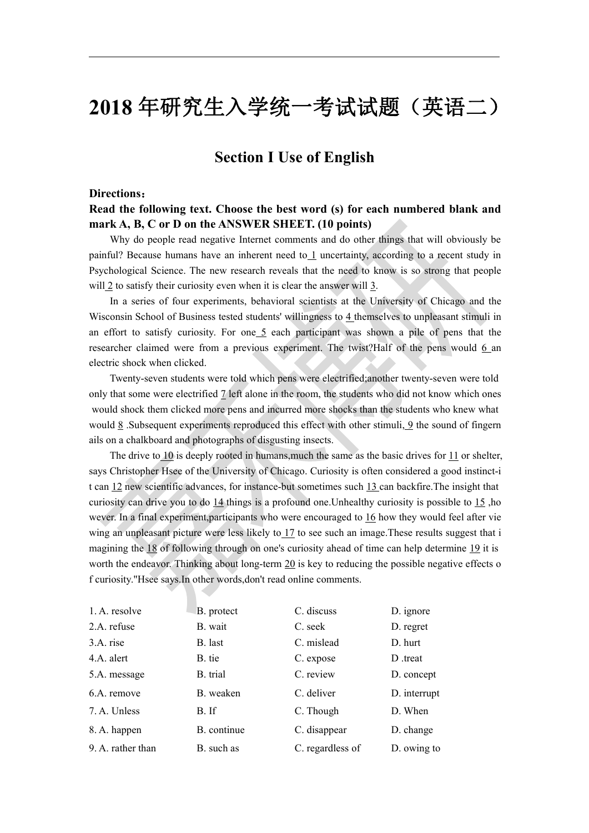# **2018** 年研究生入学统一考试试题(英语二)

## **Section I Use of English**

#### **Directions**:

### **Read the following text. Choose the bestword (s) for each numbered blank and mark A, B, C or D on the ANSWER SHEET. (10 points)**

Why do people read negative Internet comments and do other things that will obviously be painful? Because humans have an inherent need to 1 uncertainty, according to a recent study in Psychological Science. The new research reveals that the need to know is so strong that people will  $\frac{2}{3}$  to satisfy their curiosity even when it is clear the answer will  $\frac{3}{2}$ .

In a series of four experiments, behavioral scientists at the University of Chicago and the Wisconsin School of Business tested students' willingness to 4 themselves to unpleasant stimuli in an effort to satisfy curiosity. For one 5 each participant was shown a pile of pens that the researcher claimed were from a previous experiment. The twist?Half of the pens would 6 an electric shock when clicked.

Twenty-seven students were told which penswere electrified;another twenty-seven were told only that some were electrified 7 left alone in the room, the students who did not know which ones would shock them clicked more pens and incurred more shocks than the students who knew what would 8 .Subsequent experiments reproduced this effectwith other stimuli, 9 the sound of fingern ails on a chalkboard and photographs of disgusting insects.

The drive to 10 is deeply rooted in humans, much the same as the basic drives for 11 or shelter, says Christopher Hsee of the University of Chicago. Curiosity is often considered a good instinct-i t can 12 new scientific advances, for instance-but sometimes such 13 can backfire.The insight that curiosity can drive you to do 14 things is a profound one.Unhealthy curiosity is possible to 15 ,ho wever. In a final experiment,participants who were encouraged to 16 how they would feel after vie wing an unpleasant picture were less likely to 17 to see such an image.These results suggest that i magining the 18 of following through on one's curiosity ahead of time can help determine 19 it is worth the endeavor. Thinking about long-term  $20$  is key to reducing the possible negative effects o f curiosity."Hsee says.In other words,don't read online comments.

| 1. A. resolve     | B. protect  | C. discuss       | D. ignore    |
|-------------------|-------------|------------------|--------------|
| 2.A. refuse       | B. wait     | C. seek          | D. regret    |
| 3.A. rise         | B. last     | C. mislead       | D. hurt      |
| 4.A. alert        | B. tie      | C. expose        | D treat      |
| 5.A. message      | B. trial    | C. review        | D. concept   |
| 6.A. remove       | B. weaken   | C. deliver       | D. interrupt |
| 7. A. Unless      | B. If       | C. Though        | D. When      |
| 8. A. happen      | B. continue | C. disappear     | D. change    |
| 9. A. rather than | B. such as  | C. regardless of | D. owing to  |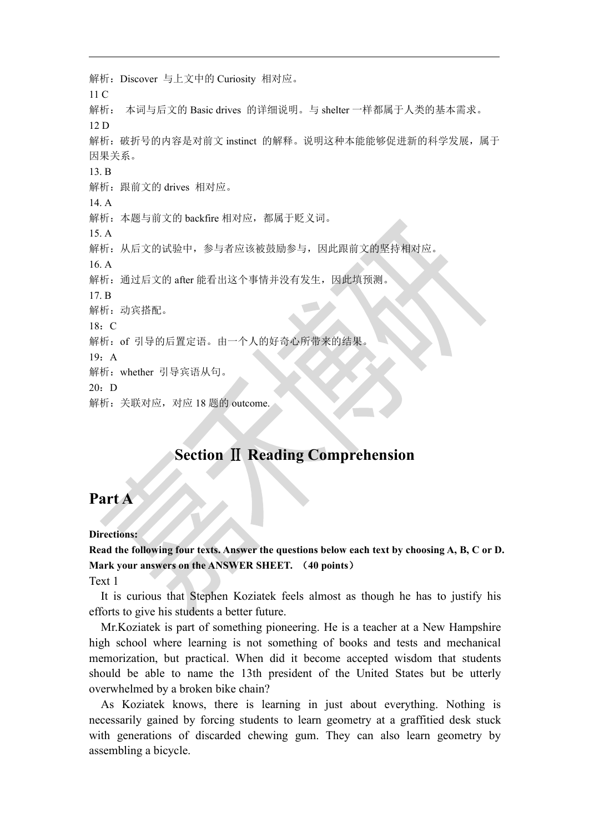解析:Discover 与上文中的 Curiosity 相对应。 11 C 解析: 本词与后文的 Basic drives 的详细说明。与 shelter 一样都属于人类的基本需求。 12 D 解析: 破折号的内容是对前文 instinct 的解释。说明这种本能能够促进新的科学发展, 属于 因果关系。 13. B 解析:跟前文的 drives 相对应。 14. A 解析: 本题与前文的 backfire 相对应, 都属于贬义词。 15. A 解析: 从后文的试验中, 参与者应该被鼓励参与, 因此跟前文的坚持相对应。 16. A 解析: 通过后文的 after 能看出这个事情并没有发生, 因此填预测 17. B 解析:动宾搭配。  $18 \cdot C$ 解析:of 引导的后置定语。由一个人的好奇心所带来的结果。 19:A 解析:whether 引导宾语从句。  $20: D$ 解析:关联对应,对应 18 题的 outcome.

# **Section** Ⅱ **Reading Comprehension**

### **Part A**

#### **Directions:**

**Read the following four texts. Answer the questions below each text by choosing A, B, C or D. Mark your answers on the ANSWER SHEET.** (**40 points**)

Text 1

It is curious that Stephen Koziatek feels almost as though he has to justify his efforts to give his students a better future.

Mr. Koziatek is part of something pioneering. He is a teacher at a New Hampshire high school where learning is not something of books and tests and mechanical memorization, but practical. When did it become accepted wisdom that students should be able to name the 13th president of the United States but be utterly overwhelmed by a broken bike chain?

As Koziatek knows, there is learning in just about everything. Nothing is necessarily gained by forcing students to learn geometry at a graffitied desk stuck with generations of discarded chewing gum. They can also learn geometry by assembling a bicycle.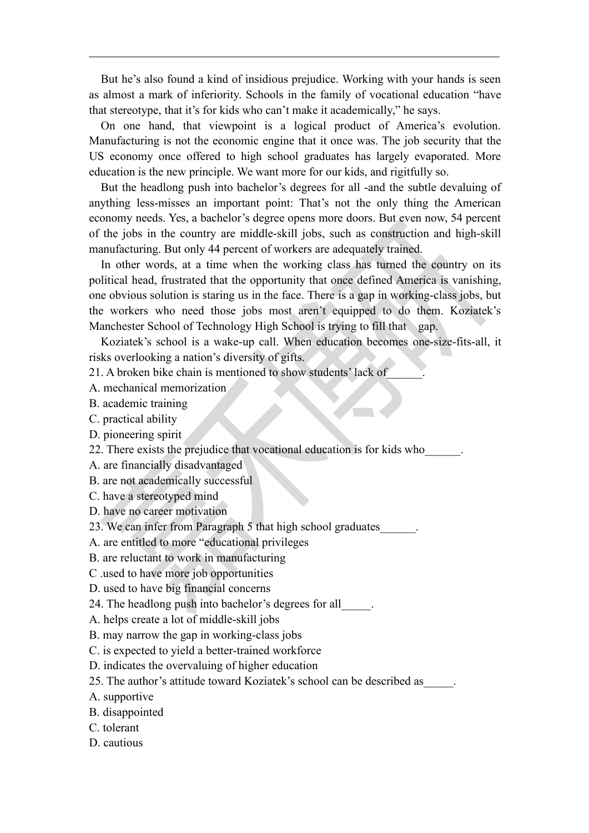But he's also found a kind of insidious prejudice. Working with your hands is seen as almost a mark of inferiority. Schools in the family of vocational education "have that stereotype, that it's for kids who can't make it academically," he says.

On one hand, that viewpoint is a logical product of America's evolution. Manufacturing is not the economic engine that it once was. The job security that the US economy once offered to high school graduates has largely evaporated. More education is the new principle. We want more for our kids, and rigitfully so.

But the headlong push into bachelor's degrees for all -and the subtle devaluing of anything less-misses an important point: That's not the only thing the American economy needs. Yes, a bachelor's degree opens more doors. But even now, 54 percent of the jobs in the country are middle-skill jobs, such as construction and high-skill manufacturing. But only 44 percent of workers are adequately trained.

In other words, at a time when the working class has turned the country on its political head, frustrated that the opportunity that once defined America is vanishing, one obvious solution is staring us in the face. There is a gap in working-class jobs, but the workers who need those jobs most aren't equipped to do them. Koziatek's Manchester School of Technology High School is trying to fill that gap.

Koziatek's school is a wake-up call. When education becomes one-size-fits-all, it risks overlooking a nation's diversity of gifts.

21. A broken bike chain is mentioned to show students' lack of\_\_\_\_\_\_.

A. mechanical memorization

B. academic training

- C. practical ability
- D. pioneering spirit

22. There exists the prejudice that vocational education is for kids who

A. are financially disadvantaged

B. are not academically successful

C. have a stereotyped mind

D. have no career motivation

23. We can infer from Paragraph 5 that high school graduates\_\_\_\_\_\_.

A. are entitled to more "educational privileges

- B. are reluctant to work in manufacturing
- C .used to have more job opportunities

D. used to have big financial concerns

24. The headlong push into bachelor's degrees for all\_\_\_\_\_.

A. helps create a lot of middle-skill jobs

B. may narrow the gap inworking-class jobs

C. is expected to yield a better-trained workforce

D. indicates the overvaluing of higher education

25. The author's attitude toward Koziatek's school can be described as\_\_\_\_\_.

A. supportive

B. disappointed

- C. tolerant
- D. cautious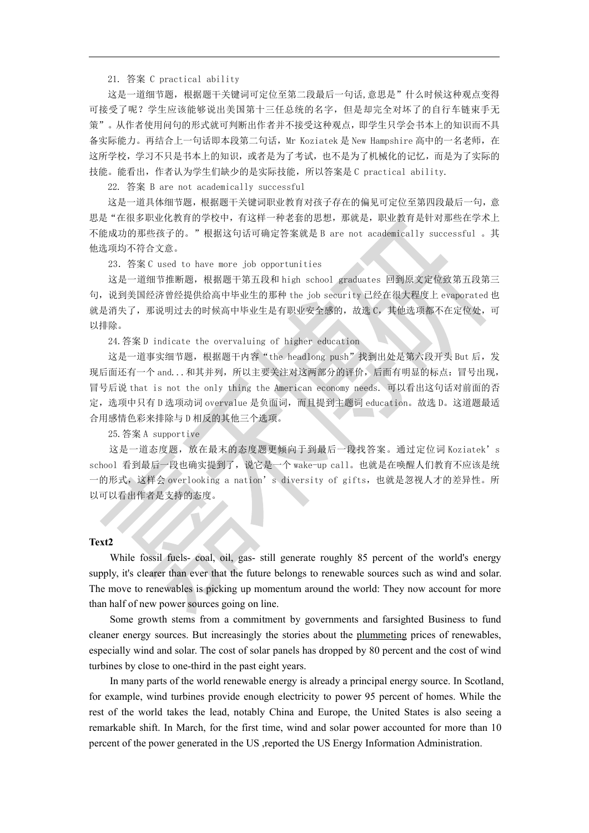21. 答案 C practical ability

这是一道细节题,根据题干关键词可定位至第二段最后一句话,意思是"什么时候这种观点变得 可接受了呢?学生应该能够说出美国第十三任总统的名字,但是却完全对坏了的自行车链束手无 策"。从作者使用问句的形式就可判断出作者并不接受这种观点,即学生只学会书本上的知识而不具 备实际能力。再结合上一句话即本段第二句话, Mr Koziatek 是 New Hampshire 高中的一名老师, 在 这所学校,学习不只是书本上的知识,或者是为了考试,也不是为了机械化的记忆,而是为了实际的 技能。能看出,作者认为学生们缺少的是实际技能,所以答案是 C practical ability.

22. 答案 B are not academically successful

这是一道具体细节题,根据题干关键词职业教育对孩子存在的偏见可定位至第四段最后一句,意 思是"在很多职业化教育的学校中,有这样一种老套的思想,那就是,职业教育是针对那些在学术上 不能成功的那些孩子的。"根据这句话可确定答案就是 B are not academically successful 。其 他选项均不符合文意。

23.答案 C used to have more job opportunities

这是一道细节推断题,根据题干第五段和 high school graduates 回到原文定位致第五段第三 句,说到美国经济曾经提供给高中毕业生的那种 the job security 已经在很大程度上 evaporated 也 就是消失了,那说明过去的时候高中毕业生是有职业安全感的,故选 C,其他选项都不在定位处,可 以排除。

24.答案 D indicate the overvaluing of higher education

这是一道事实细节题,根据题干内容"the headlong push"找到出处是第六段开头 But 后,发 现后面还有一个 and... 和其并列, 所以主要关注对这两部分的评价, 后面有明显的标点: 冒号出现, 冒号后说 that is not the only thing the American economy needs. 可以看出这句话对前面的否 定,选项中只有 D 选项动词 overvalue 是负面词,而且提到主题词 education。故选 D。这道题最适 合用感情色彩来排除与 D 相反的其他三个选项。

25.答案 A supportive

这是一道态度题,放在最末的态度题更倾向于到最后一段找答案。通过定位词 Koziatek's school 看到最后一段也确实提到了, 说它是一个 wake-up call。也就是在唤醒人们教育不应该是统 一的形式,这样会 overlooking a nation's diversity of gifts,也就是忽视人才的差异性。所 以可以看出作者是支持的态度。

#### **Text2**

While fossil fuels- coal, oil, gas- still generate roughly 85 percent of the world's energy supply, it's clearer than ever that the future belongs to renewable sources such as wind and solar. The move to renewables is picking up momentum around the world: They now account for more than half of new power sources going on line.

Some growth stems from a commitment by governments and farsighted Business to fund cleaner energy sources. But increasingly the stories about the plummeting prices of renewables, especially wind and solar. The cost of solar panels has dropped by 80 percent and the cost of wind turbines by close to one-third in the past eight years.

In many parts of the world renewable energy is already a principal energy source. In Scotland, for example, wind turbines provide enough electricity to power 95 percent of homes. While the rest of the world takes the lead, notably China and Europe, the United States is also seeing a remarkable shift. In March, for the first time, wind and solar power accounted for more than 10 percent of the power generated in the US ,reported the US Energy Information Administration.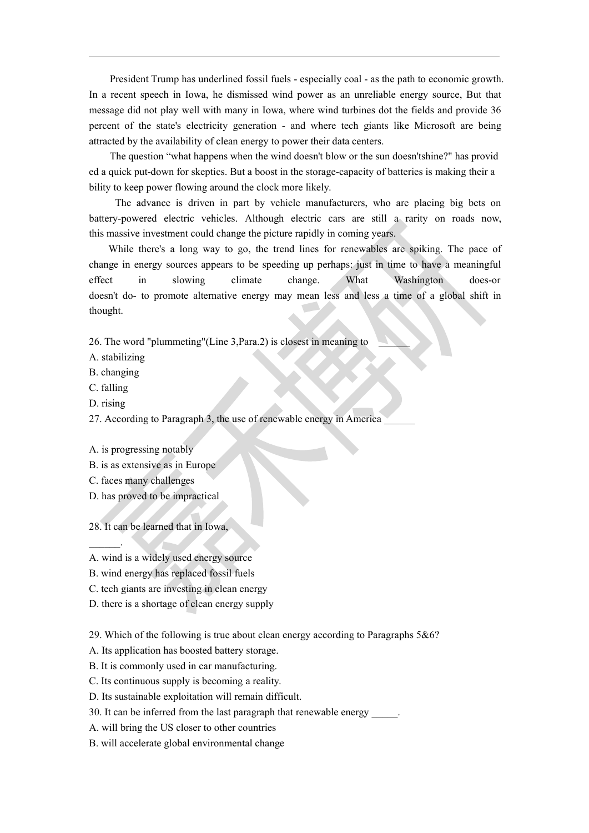President Trump has underlined fossil fuels - especially coal - as the path to economic growth. In a recent speech in Iowa, he dismissed wind power as an unreliable energy source, But that message did not play well with many in Iowa, where wind turbines dot the fields and provide 36 percent of the state's electricity generation - and where tech giants like Microsoft are being attracted by the availability of clean energy to power their data centers.

The question "what happens when the wind doesn't blow or the sundoesn'tshine?" has provid ed a quick put-down for skeptics. But a boost in the storage-capacity of batteries is making their a bility to keep power flowing around the clock more likely.

The advance is driven in part by vehicle manufacturers, who are placing big betson battery-powered electric vehicles. Although electric cars are still a rarity on roads now, this massive investment could change the picture rapidly in coming years.

While there's a long way to go, the trend lines for renewables are spiking. The pace of change in energy sources appears to be speeding up perhaps: just in time to have a meaningful effect in slowing climate change. What Washington does-or doesn't do- to promote alternative energy may mean less and less a time of a global shift in thought.

26. The word "plummeting"(Line 3,Para.2) is closest in meaning to \_\_\_\_\_\_

- A. stabilizing
- B. changing
- C. falling
- D. rising

27. According to Paragraph 3, the use of renewable energy in America

A. is progressing notably

- B. is as extensive as in Europe
- C. faces many challenges

 $\frac{1}{2}$  . The set of  $\frac{1}{2}$ 

D. has proved to be impractical

28. It can be learned that in Iowa,

- A. wind is a widely used energy source
- B. wind energy has replaced fossil fuels
- C. tech giants are investing in clean energy
- D. there is a shortage of clean energy supply

29. Which of the following is true about clean energy according to Paragraphs 5&6?

- A. Its application has boosted battery storage.
- B. It is commonly used in car manufacturing.
- C. Its continuous supply is becoming a reality.
- D. Its sustainable exploitation will remain difficult.
- 30. It can be inferred from the last paragraph that renewable energy
- A. will bring the US closer to other countries
- B. will accelerate global environmental change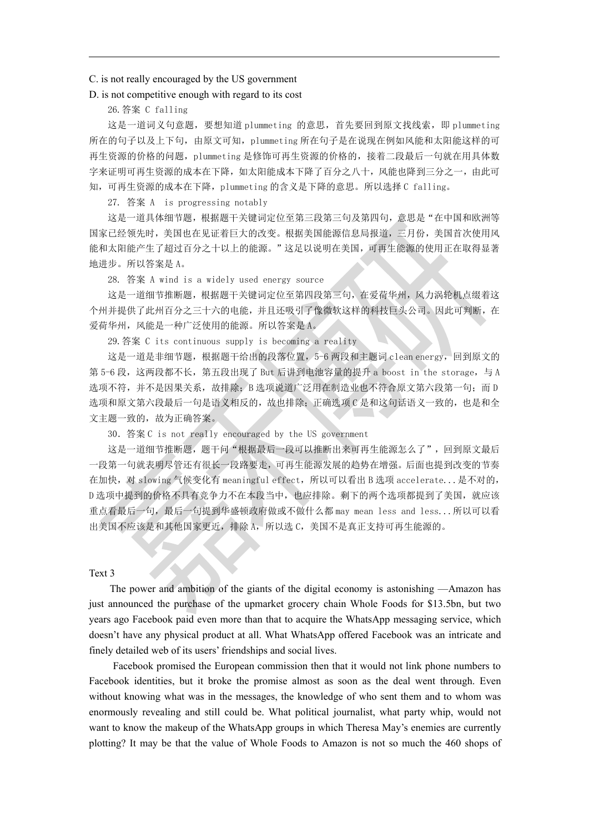#### C. is not really encouraged by the US government

#### D. is not competitive enough with regard to its cost

26.答案 C falling

这是一道词义句意题,要想知道 plummeting 的意思,首先要回到原文找线索,即 plummeting 所在的句子以及上下句,由原文可知,plummeting 所在句子是在说现在例如风能和太阳能这样的可 再生资源的价格的问题,plummeting 是修饰可再生资源的价格的,接着二段最后一句就在用具体数 字来证明可再生资源的成本在下降,如太阳能成本下降了百分之八十,风能也降到三分之一,由此可 知,可再生资源的成本在下降,plummeting 的含义是下降的意思。所以选择 C falling。

27. 答案 A is progressing notably

这是一道具体细节题,根据题干关键词定位至第三段第三句及第四句,意思是"在中国和欧洲等 国家已经领先时,美国也在见证着巨大的改变。根据美国能源信息局报道,三月份,美国首次使用风 能和太阳能产生了超过百分之十以上的能源。"这足以说明在美国,可再生能源的使用正在取得显著 地进步。所以答案是 A。

28. 答案 A wind is a widely used energy source

这是一道细节推断题,根据题干关键词定位至第四段第三句,在爱荷华州,风力涡轮机点缀着这 个州并提供了此州百分之三十六的电能,并且还吸引了像微软这样的科技巨头公司。因此可判断,在 爱荷华州,风能是一种广泛使用的能源。所以答案是 A。

29.答案 C its continuous supply is becoming a reality

这是一道是非细节题,根据题干给出的段落位置,5-6 两段和主题词 clean energy, 回到原文的 第 5-6 段, 这两段都不长, 第五段出现了 But 后讲到电池容量的提升 a boost in the storage, 与 A 选项不符,并不是因果关系,故排除; B 选项说道广泛用在制造业也不符合原文第六段第一句;而 D 选项和原文第六段最后一句是语义相反的,故也排除;正确选项 C 是和这句话语义一致的,也是和全 文主题一致的,故为正确答案。

30.答案 C is not really encouraged by the US government

这是一道细节推断题,题干问"根据最后一段可以推断出来可再生能源怎么了",回到原文最后 一段第一句就表明尽管还有很长一段路要走,可再生能源发展的趋势在增强。后面也提到改变的节奏 在加快, 对 slowing 气候变化有 meaningful effect, 所以可以看出 B 选项 accelerate...是不对的, D 选项中提到的价格不具有竞争力不在本段当中,也应排除。剩下的两个选项都提到了美国,就应该 重点看最后一句,最后一句提到华盛顿政府做或不做什么都 may mean less and less...所以可以看 出美国不应该是和其他国家更近, 排除 A, 所以选 C, 美国不是真正支持可再生能源的。

#### Text 3

The power and ambition of the giants of the digital economy is astonishing —Amazon has just announced the purchase of the upmarket grocery chain Whole Foods for \$13.5bn, but two years ago Facebook paid even more than that to acquire the WhatsApp messaging service, which doesn't have any physical product at all. What WhatsApp offered Facebook was an intricate and finely detailed web of its users' friendships and social lives.

Facebook promised the European commission then that it would not link phone numbers to Facebook identities, but it broke the promise almostas soon as the deal went through. Even without knowing what was in the messages, the knowledge of who sent them and to whom was enormously revealing and still could be. What political journalist, what party whip, would not want to know the makeup of the WhatsApp groups in which Theresa May's enemies are currently plotting? It may be that the value of Whole Foods to Amazon is not so much the 460 shops of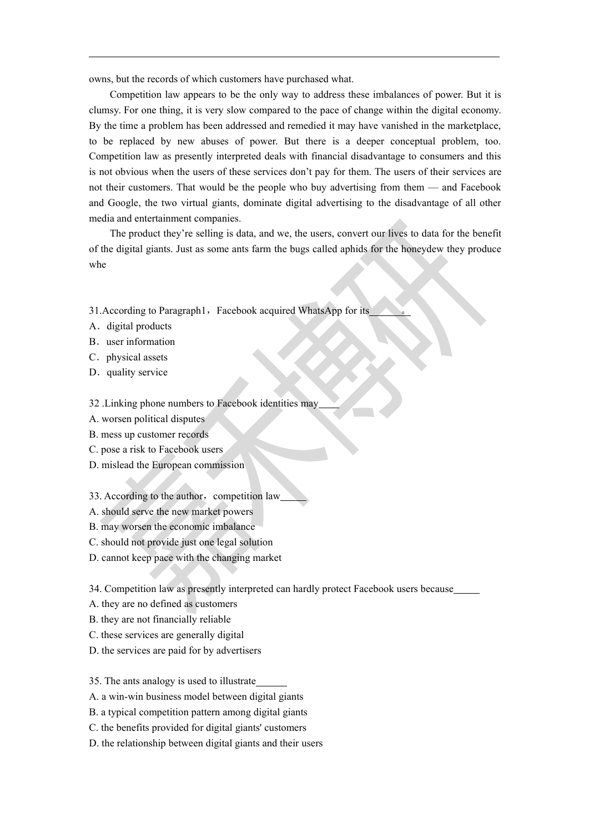owns, but the records of which customers have purchased what.

Competition law appears to be the only way to address these imbalances of power. But it is clumsy. For one thing, it is very slow compared to the pace of change within the digital economy. By the time a problem has been addressed and remedied it may have vanished in the marketplace, to be replaced by new abuses of power. But there is a deeper conceptual problem, too. Competition law as presently interpreted deals with financial disadvantage to consumers and this is not obvious when the users of these services don't pay for them. The users of their services are not their customers. That would be the people who buy advertising from them — and Facebook and Google, the two virtual giants, dominate digital advertising to the disadvantage of all other media and entertainment companies.

The product they're selling is data, and we, the users, convert our lives to data for the benefit of the digital giants. Just as some ants farm the bugs called aphids for the honeydew they produce whe

- 31. According to Paragraph1, Facebook acquired WhatsApp for its
- A. digital products
- B. user information
- C. physical assets
- D. quality service

32 .Linking phone numbers to Facebook identities may

- A. worsen political disputes
- B. mess up customer records
- C. pose a risk to Facebook users
- D. mislead the European commission
- 33. According to the author, competition law
- A. should serve the new market powers
- B. may worsen the economic imbalance
- C. should not provide just one legal solution
- D. cannot keep pace with the changing market

34. Competition law as presently interpreted can hardly protect Facebook users because

- A. they are no defined as customers
- B. they are not financially reliable
- C. these services are generally digital
- D. the services are paid for by advertisers

35. The ants analogy is used to illustrate

- A. a win-win business model between digital giants
- B. a typical competition pattern among digital giants
- C. the benefits provided for digital giants' customers
- D. the relationship between digital giants and their users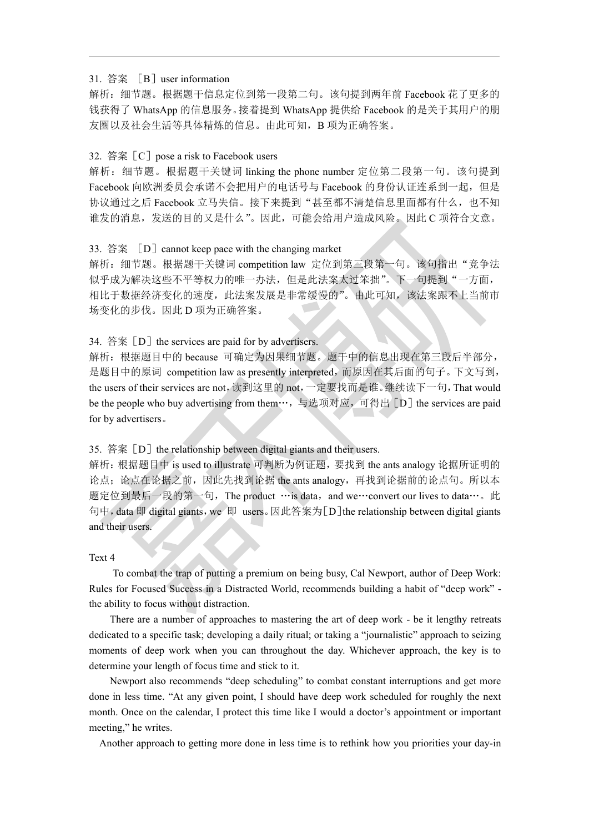#### 31. 答案 「B<sup>1</sup> user information

解析:细节题。根据题干信息定位到第一段第二句。该句提到两年前 Facebook 花了更多的 钱获得了 WhatsApp 的信息服务。接着提到 WhatsApp 提供给 Facebook 的是关于其用户的朋 友圈以及社会生活等具体精炼的信息。由此可知,B 项为正确答案。

#### 32. 答案 [C] pose a risk to Facebook users

解析:细节题。根据题干关键词 linking the phone number 定位第二段第一句。该句提到 Facebook 向欧洲委员会承诺不会把用户的电话号与 Facebook 的身份认证连系到一起, 但是 协议通过之后 Facebook 立马失信。接下来提到"甚至都不清楚信息里面都有什么,也不知 谁发的消息,发送的目的又是什么"。因此,可能会给用户造成风险。因此 C 项符合文意。

#### 33. 答案 [D] cannot keep pace with the changing market

解析: 细节题。根据题干关键词 competition law 定位到第三段第一句。该句指出"竞争法 似乎成为解决这些不平等权力的唯一办法,但是此法案太过笨拙"。下一句提到"一方面, 相比于数据经济变化的速度,此法案发展是非常缓慢的"。由此可知,该法案跟不上当前市 场变化的步伐。因此 D 项为正确答案。

#### 34. 答案  $[D]$  the services are paid for by advertisers.

解析:根据题目中的 because 可确定为因果细节题。题干中的信息出现在第三段后半部分, 是题目中的原词 competition law as presently interpreted, 而原因在其后面的句子。下文写到, the users of their services are not,读到这里的 not,一定要找而是谁。继续读下一句,That would be the people who buy advertising from them…, 与选项对应, 可得出 [D] the services are paid for by advertisers。

#### 35. 答案  $[D]$  the relationship between digital giants and their users.

解析:根据题目中 is used to illustrate 可判断为例证题,要找到 the ants analogy 论据所证明的 论点;论点在论据之前,因此先找到论据 the ants analogy,再找到论据前的论点句。所以本 题定位到最后一段的第一句, The product …is data, and we…convert our lives to data…。此 句中, data 即 digital giants, we 即 users。因此答案为[D] the relationship between digital giants and their users.

#### Text 4

To combat the trap of putting a premium on being busy, Cal Newport, author of Deep Work: Rules for Focused Success in a Distracted World, recommends building a habit of "deep work" the ability to focus without distraction.

There are a number of approaches to mastering the art of deep work - be it lengthy retreats dedicated to a specific task; developing a daily ritual; or taking a "journalistic" approach to seizing moments of deep work when you can throughout the day. Whichever approach, the key is to determine your length of focus time and stick to it.

Newport also recommends "deep scheduling" to combat constant interruptions and get more done in less time. "At any given point, I should have deep work scheduled for roughly the next month. Once on the calendar, I protect this time like I would a doctor's appointment or important meeting," he writes.

Another approach to getting more done in less time is to rethink how you priorities your day-in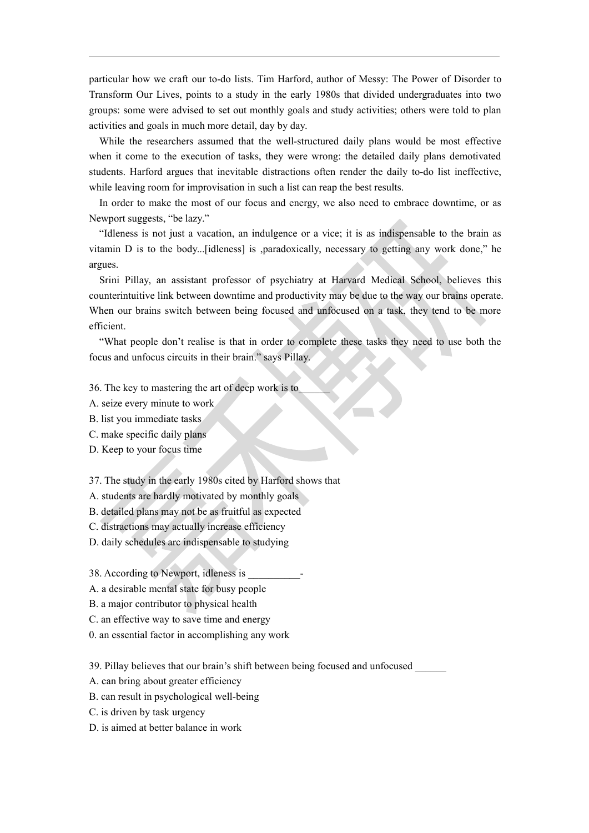particular how we craft our to-do lists. Tim Harford, author of Messy: The Power of Disorder to Transform Our Lives, points to a study in the early 1980s that divided undergraduates into two groups: some were advised to set out monthly goals and study activities; others were told to plan activities and goals in much more detail, day by day.

While the researchers assumed that the well-structured daily plans would be most effective when it come to the execution of tasks, they were wrong: the detailed daily plans demotivated students. Harford argues that inevitable distractions often render the daily to-do list ineffective, while leaving room for improvisation in such a list can reap the best results.

In order to make the most of our focus and energy, we also need to embrace downtime, or as Newport suggests, "be lazy."

"Idleness is not just a vacation, an indulgence or a vice; it is as indispensable to the brain as vitamin D is to the body...[idleness] is ,paradoxically, necessary to getting any work done," he argues.

Srini Pillay, an assistant professor of psychiatry at Harvard Medical School, believes this counterintuitive link between downtime and productivity may be due to the way our brains operate. When our brains switch between being focused and unfocused on a task, they tend to be more efficient.

"What people don't realise is that in order to complete these tasks they need to use both the focus and unfocus circuits in their brain." says Pillay.

36. The key to mastering the art of deep work is to\_\_\_\_\_\_

- A. seize every minute to work
- B. list you immediate tasks
- C. make specific daily plans
- D. Keep to your focus time

37. The study in the early 1980s cited by Harford shows that

- A. students are hardly motivated by monthly goals
- B. detailed plans may not be as fruitful as expected
- C. distractions may actually increase efficiency
- D. daily schedules arc indispensable to studying
- 38. According to Newport, idleness is
- A. a desirable mental state for busy people
- B. a major contributor to physical health
- C. an effective way to save time and energy
- 0. an essential factor in accomplishing any work

39. Pillay believes that our brain's shift between being focused and unfocused \_\_\_\_\_\_

- A. can bring about greater efficiency
- B. can result in psychological well-being
- C. is driven by task urgency
- D is aimed at better balance in work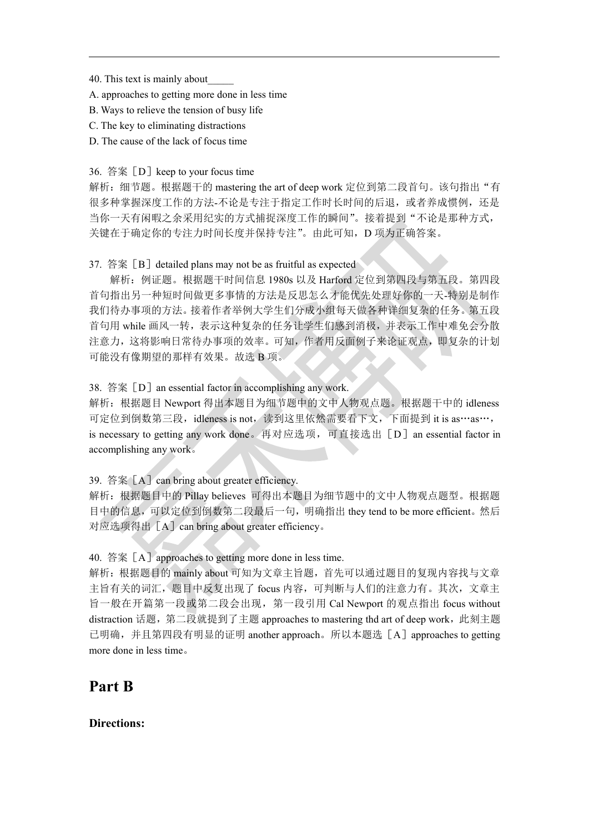40. This text is mainly about\_\_\_\_\_

A. approaches to getting more done in less time

B. Ways to relieve the tension of busy life

C. The key to eliminating distractions

D. The cause of the lack of focus time

#### 36. 答案 [D] keep to your focus time

解析: 细节题。根据题干的 mastering the art of deep work 定位到第二段首句。该句指出"有 很多种掌握深度工作的方法--不论是专注于指定工作时长时间的后退,或者养成惯例,还是 当你一天有闲暇之余采用纪实的方式捕捉深度工作的瞬间"。接着提到"不论是那种方式, 关键在于确定你的专注力时间长度并保持专注"。由此可知,D 项为正确答案。

#### 37. 答案  $[B]$  detailed plans may not be as fruitful as expected

解析:例证题。根据题干时间信息 1980s 以及 Harford 定位到第四段与第五段。第四段 首句指出另一种短时间做更多事情的方法是反思怎么才能优先处理好你的一天-特别是制作 我们待办事项的方法。接着作者举例大学生们分成小组每天做各种详细复杂的任务。第五段 首句用 while 画风一转,表示这种复杂的任务让学生们感到消极,并表示工作中难免会分散 注意力,这将影响日常待办事项的效率。可知,作者用反面例子来论证观点,即复杂的计划 可能没有像期望的那样有效果。故选 B 项。

#### 38. 答案 [D] an essential factor in accomplishing any work.

解析:根据题目 Newport 得出本题目为细节题中的文中人物观点题。根据题干中的 idleness 可定位到倒数第三段,idleness is not,读到这里依然需要看下文,下面提到 it is as…as…, is necessary to getting any work done。再对应选项,可直接选出[D]an essential factor in accomplishing any work。

39. 答案 $[A]$  can bring about greater efficiency.

解析:根据题目中的 Pillay believes 可得出本题目为细节题中的文中人物观点题型。根据题 目中的信息,可以定位到倒数第二段最后一句,明确指出 they tend to be more efficient。然后 对应选项得出「A]can bring about greater efficiency。

#### 40. 答案 $[A]$  approaches to getting more done in less time.

解析:根据题目的 mainly about 可知为文章主旨题,首先可以通过题目的复现内容找与文章 主旨有关的词汇,题目中反复出现了 focus 内容,可判断与人们的注意力有。其次,文章主 旨一般在开篇第一段或第二段会出现,第一段引用 Cal Newport 的观点指出 focus without distraction 话题, 第二段就提到了主题 approaches to mastering thd art of deep work, 此刻主题 已明确,并且第四段有明显的证明 another approach。所以本题选[A]approaches to getting more done in less time。

### **Part B**

### **Directions:**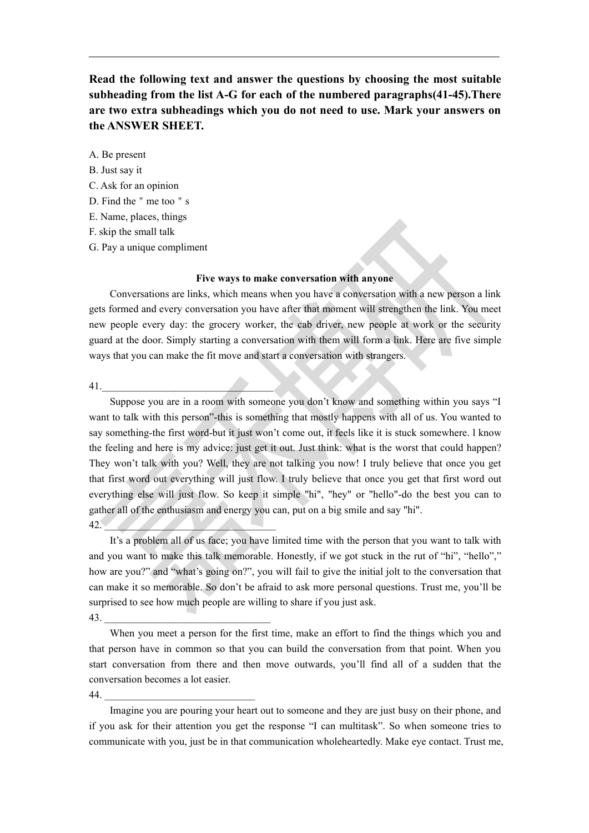**Read the following text and answer the questions by choosing the most suitable subheading from the list A-G for each of the numbered paragraphs(41-45).There are two extra subheadings which you do not need to use. Mark your answers on the ANSWER SHEET.**

A. Be present

B. Just say it

C. Ask for an opinion

D. Find the " me too " s

E. Name, places, things

F. skip the small talk

G. Pay a unique compliment

#### **Five ways to make conversation with anyone**

Conversations are links, which means when you have a conversation with a new person a link gets formed and every conversation you have after that moment will strengthen the link. You meet new people every day: the grocery worker, the cab driver, new people at work or the security guard at the door. Simply starting a conversation with them will form a link. Here are five simple ways that you can make the fit move and start a conversation with strangers.

41.

Suppose you are in a room with someone you don't know and something within you says "I want to talk with this person"-this is something that mostly happens with all of us. You wanted to say something-the first word-but it just won't come out, it feels like it is stuck somewhere. l know the feeling and here is my advice: just get it out. Just think: what is the worst that could happen? They won't talk with you? Well, they are not talking you now! I truly believe that once you get that first word out everything will just flow. I truly believe that once you get that first word out everything else will just flow. So keep it simple "hi", "hey" or "hello"-do the best you can to gather all of the enthusiasm and energy you can, put on a big smile and say "hi".  $42.$   $\blacksquare$ 

It's a problem all of us face; you have limited time with the person that you want to talk with and you want to make this talk memorable. Honestly, if we got stuck in the rut of "hi", "hello"," how are you?" and "what's going on?", you will fail to give the initial jolt to the conversation that can make it so memorable. So don't be afraid to ask more personal questions. Trust me, you'll be surprised to see how much people are willing to share if you just ask.

43. \_\_\_\_\_\_\_\_\_\_\_\_\_\_\_\_\_\_\_\_\_\_\_\_\_\_\_\_\_\_\_\_

When you meet a person for the first time, make an effort to find the things which you and that person have in common so that you can build the conversation from that point. When you start conversation from there and then move outwards, you'll find all of a sudden that the conversation becomes a lot easier.

44. \_\_\_\_\_\_\_\_\_\_\_\_\_\_\_\_\_\_\_\_\_\_\_\_\_\_\_\_\_

Imagine you are pouring your heart out to someone and they are just busy on their phone, and if you ask for their attention you get the response "I can multitask". So when someone tries to communicate with you, just be in that communication wholeheartedly. Make eye contact. Trust me,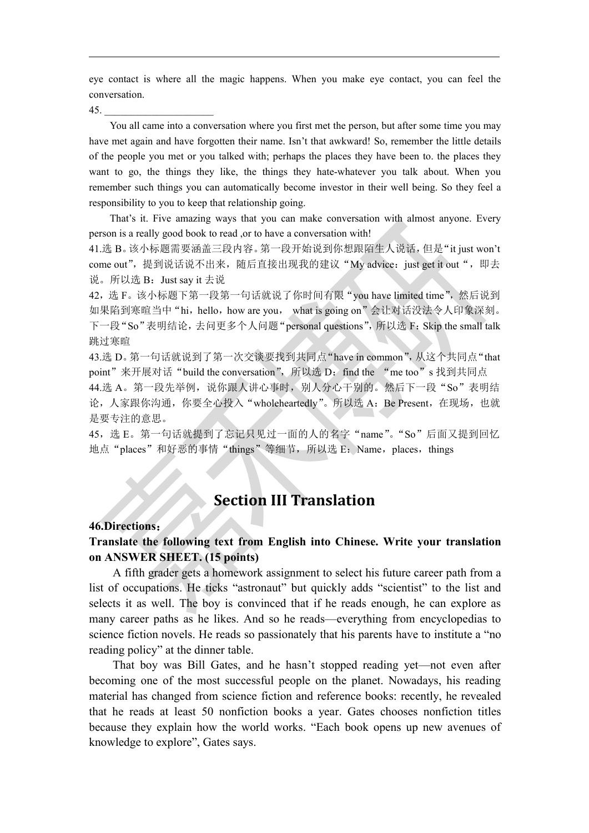eye contact is where all the magic happens. When you make eye contact, you can feel the conversation.

45. \_\_\_\_\_\_\_\_\_\_\_\_\_\_\_\_\_\_\_\_\_

You all came into a conversation where you first met the person, but after some time you may have met again and have forgotten their name. Isn't that awkward! So, remember the little details of the people you met or you talked with; perhaps the places they have been to. the places they want to go, the things they like, the things they hate-whatever you talk about. When you remember such things you can automatically become investor in their well being. So they feel a responsibility to you to keep that relationship going.

That's it. Five amazing ways that you can make conversation with almost anyone. Every person is a really good book to read ,or to have a conversation with!

41.选 B。该小标题需要涵盖三段内容。第一段开始说到你想跟陌生人说话,但是"it just won't come out", 提到说话说不出来, 随后直接出现我的建议"My advice: just get it out", 即去 说。所以选 B: Just say it 去说

42, 选 F。该小标题下第一段第一句话就说了你时间有限"you have limited time",然后说到 如果陷到寒暄当中"hi, hello, how are you, what is going on"会让对话没法令人印象深刻。 下一段"So"表明结论,去问更多个人问题"personal questions",所以选 F: Skip the small talk 跳过寒暄

43.选 D。第一句话就说到了第一次交谈要找到共同点"have in common",从这个共同点"that point"来开展对话"build the conversation", 所以选 D: find the "me too"s 找到共同点 44.选 A。第一段先举例, 说你跟人讲心事时, 别人分心干别的。然后下一段"So"表明结 论,人家跟你沟通,你要全心投入"wholeheartedly"。所以选 A: Be Present, 在现场, 也就 是要专注的意思。

45, 选 E。第一句话就提到了忘记只见过一面的人的名字"name"。"So"后面又提到回忆 地点"places"和好恶的事情"things"等细节, 所以选 E: Name, places, things

# **Section III Translation**

#### **46.Directions**:

### **Translate the following text from English into Chinese. Write your translation on ANSWER SHEET. (15 points)**

A fifth grader gets a homework assignment to select his future career path from a list of occupations. He ticks "astronaut" but quickly adds "scientist" to the list and selects it as well. The boy is convinced that if he reads enough, he can explore as many career paths as he likes. And so he reads—everything from encyclopedias to science fiction novels. He reads so passionately that his parents have to institute a "no reading policy" at the dinner table.

That boy was Bill Gates, and he hasn't stopped reading yet—not even after becoming one of the most successful people on the planet. Nowadays, his reading material has changed from science fiction and reference books: recently, he revealed that he reads at least 50 nonfiction books a year. Gates chooses nonfiction titles because they explain how the world works. "Each book opens up new avenues of knowledge to explore", Gates says.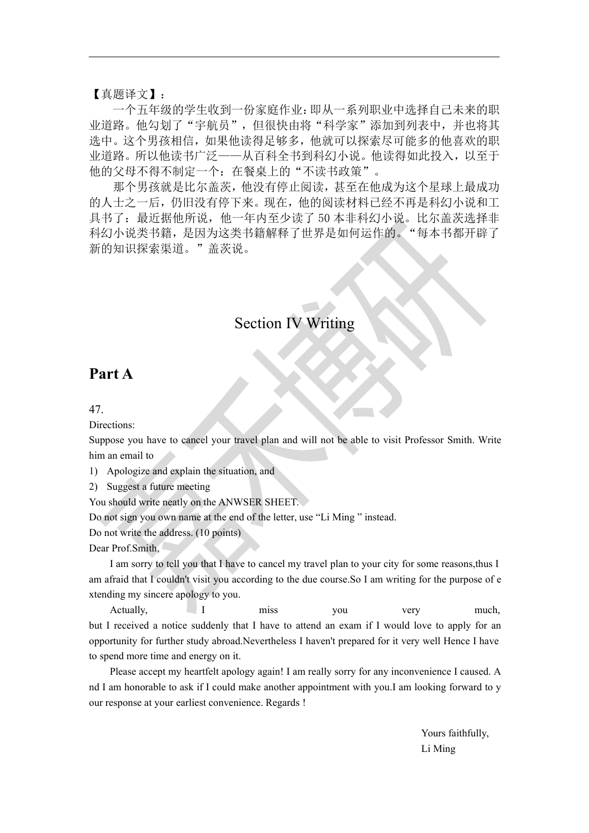【真题译文】:

一个五年级的学生收到一份家庭作业:即从一系列职业中选择自己未来的职 业道路。他勾划了"宇航员",但很快由将"科学家"添加到列表中,并也将其 选中。这个男孩相信,如果他读得足够多,他就可以探索尽可能多的他喜欢的职 业道路。所以他读书广泛——从百科全书到科幻小说。他读得如此投入,以至于 他的父母不得不制定一个: 在餐桌上的"不读书政策"。

那个男孩就是比尔盖茨,他没有停止阅读,甚至在他成为这个星球上最成功 的人士之一后,仍旧没有停下来。现在,他的阅读材料已经不再是科幻小说和工 具书了: 最近据他所说, 他一年内至少读了 50 本非科幻小说。比尔盖茨选择非 科幻小说类书籍,是因为这类书籍解释了世界是如何运作的。"每本书都开辟了 新的知识探索渠道。"盖茨说。

# Section IV Writing

# **Part A**

47.

Directions:

Suppose you have to cancel your travel plan and will not be able to visit Professor Smith. Write him an email to

1) Apologize and explain the situation, and

2) Suggest a future meeting

You should write neatly on the ANWSER SHEET.

Do not sign you own name at the end of the letter, use "Li Ming " instead.

Do not write the address. (10 points)

Dear Prof.Smith,

I am sorry to tell you that I have to cancel my travel plan to yourcity for some reasons,thus I am afraid that I couldn't visit you according to the due course.So I am writing for the purpose of e xtending my sincere apology to you.

Actually,  $I$  miss you very much, but I received a notice suddenly that I have to attend an exam if I would love to apply for an opportunity for further study abroad.Nevertheless I haven't prepared for it very well Hence I have to spend more time and energy on it.

Please accept my heartfelt apology again! I am really sorry for any inconvenience I caused. A nd I am honorable to ask if I could make another appointment with you.I am looking forward to y our response at your earliest convenience. Regards !

> Yours faithfully, Li Ming